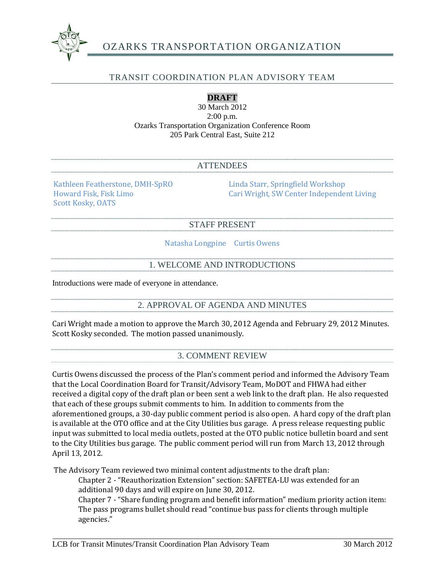

# OZARKS TRANSPORTATION ORGANIZATION

## TRANSIT COORDINATION PLAN ADVISORY TEAM

## **DRAFT**

30 March 2012 2:00 p.m. Ozarks Transportation Organization Conference Room 205 Park Central East, Suite 212

### ATTENDEES

Kathleen Featherstone, DMH-SpRO Linda Starr, Springfield Workshop Scott Kosky, OATS

Cari Wright, SW Center Independent Living

#### STAFF PRESENT

Natasha Longpine Curtis Owens

## 1. WELCOME AND INTRODUCTIONS

Introductions were made of everyone in attendance.

2. APPROVAL OF AGENDA AND MINUTES

Cari Wright made a motion to approve the March 30, 2012 Agenda and February 29, 2012 Minutes. Scott Kosky seconded. The motion passed unanimously.

## 3. COMMENT REVIEW

Curtis Owens discussed the process of the Plan's comment period and informed the Advisory Team that the Local Coordination Board for Transit/Advisory Team, MoDOT and FHWA had either received a digital copy of the draft plan or been sent a web link to the draft plan. He also requested that each of these groups submit comments to him. In addition to comments from the aforementioned groups, a 30-day public comment period is also open. A hard copy of the draft plan is available at the OTO office and at the City Utilities bus garage. A press release requesting public input was submitted to local media outlets, posted at the OTO public notice bulletin board and sent to the City Utilities bus garage. The public comment period will run from March 13, 2012 through April 13, 2012.

The Advisory Team reviewed two minimal content adjustments to the draft plan:

Chapter 2 - "Reauthorization Extension" section: SAFETEA-LU was extended for an additional 90 days and will expire on June 30, 2012.

Chapter 7 - "Share funding program and benefit information" medium priority action item: The pass programs bullet should read "continue bus pass for clients through multiple agencies."